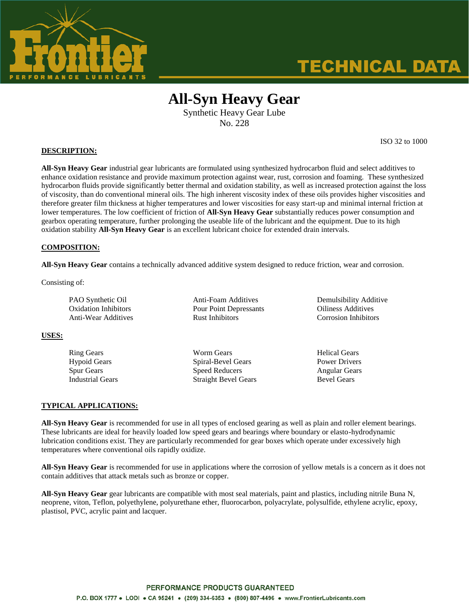

# **TECHNICAL DATA**

# **All-Syn Heavy Gear**

Synthetic Heavy Gear Lube No. 228

**DESCRIPTION:**

**All-Syn Heavy Gear** industrial gear lubricants are formulated using synthesized hydrocarbon fluid and select additives to enhance oxidation resistance and provide maximum protection against wear, rust, corrosion and foaming. These synthesized hydrocarbon fluids provide significantly better thermal and oxidation stability, as well as increased protection against the loss of viscosity, than do conventional mineral oils. The high inherent viscosity index of these oils provides higher viscosities and therefore greater film thickness at higher temperatures and lower viscosities for easy start-up and minimal internal friction at lower temperatures. The low coefficient of friction of **All-Syn Heavy Gear** substantially reduces power consumption and gearbox operating temperature, further prolonging the useable life of the lubricant and the equipment. Due to its high oxidation stability **All-Syn Heavy Gear** is an excellent lubricant choice for extended drain intervals.

### **COMPOSITION:**

**All-Syn Heavy Gear** contains a technically advanced additive system designed to reduce friction, wear and corrosion.

Consisting of:

| PAO Synthetic Oil    | Anti-Foam Additives    | Demulsibility Additive    |
|----------------------|------------------------|---------------------------|
| Oxidation Inhibitors | Pour Point Depressants | <b>Oiliness Additives</b> |
| Anti-Wear Additives  | <b>Rust Inhibitors</b> | Corrosion Inhibitors      |

#### **USES:**

Ring Gears **No. 2018** Worm Gears **Helical Gears** Helical Gears Hypoid Gears Spiral-Bevel Gears Power Drivers Spur Gears Speed Reducers Angular Gears Angular Gears Industrial Gears Straight Bevel Gears Bevel Gears

#### **TYPICAL APPLICATIONS:**

**All-Syn Heavy Gear** is recommended for use in all types of enclosed gearing as well as plain and roller element bearings. These lubricants are ideal for heavily loaded low speed gears and bearings where boundary or elasto-hydrodynamic lubrication conditions exist. They are particularly recommended for gear boxes which operate under excessively high temperatures where conventional oils rapidly oxidize.

**All-Syn Heavy Gear** is recommended for use in applications where the corrosion of yellow metals is a concern as it does not contain additives that attack metals such as bronze or copper.

**All-Syn Heavy Gear** gear lubricants are compatible with most seal materials, paint and plastics, including nitrile Buna N, neoprene, viton, Teflon, polyethylene, polyurethane ether, fluorocarbon, polyacrylate, polysulfide, ethylene acrylic, epoxy, plastisol, PVC, acrylic paint and lacquer.

ISO 32 to 1000